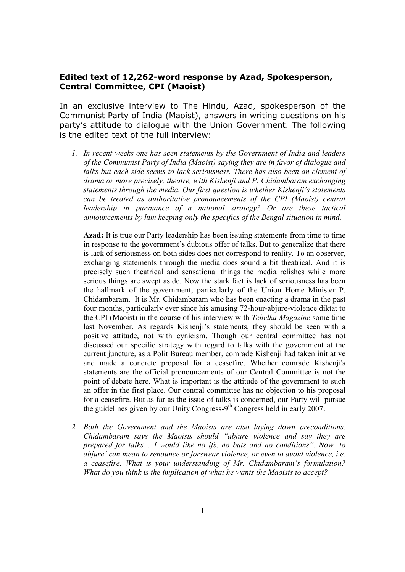## **Edited text of 12,262-word response by Azad, Spokesperson, Central Committee, CPI (Maoist)**

In an exclusive interview to The Hindu, Azad, spokesperson of the Communist Party of India (Maoist), answers in writing questions on his party's attitude to dialogue with the Union Government. The following is the edited text of the full interview:

*1. In recent weeks one has seen statements by the Government of India and leaders of the Communist Party of India (Maoist) saying they are in favor of dialogue and talks but each side seems to lack seriousness. There has also been an element of drama or more precisely, theatre, with Kishenji and P. Chidambaram exchanging statements through the media. Our first question is whether Kishenji's statements can be treated as authoritative pronouncements of the CPI (Maoist) central leadership in pursuance of a national strategy? Or are these tactical announcements by him keeping only the specifics of the Bengal situation in mind.* 

**Azad:** It is true our Party leadership has been issuing statements from time to time in response to the government's dubious offer of talks. But to generalize that there is lack of seriousness on both sides does not correspond to reality. To an observer, exchanging statements through the media does sound a bit theatrical. And it is precisely such theatrical and sensational things the media relishes while more serious things are swept aside. Now the stark fact is lack of seriousness has been the hallmark of the government, particularly of the Union Home Minister P. Chidambaram. It is Mr. Chidambaram who has been enacting a drama in the past four months, particularly ever since his amusing 72-hour-abjure-violence diktat to the CPI (Maoist) in the course of his interview with *Tehelka Magazine* some time last November. As regards Kishenji's statements, they should be seen with a positive attitude, not with cynicism. Though our central committee has not discussed our specific strategy with regard to talks with the government at the current juncture, as a Polit Bureau member, comrade Kishenji had taken initiative and made a concrete proposal for a ceasefire. Whether comrade Kishenji's statements are the official pronouncements of our Central Committee is not the point of debate here. What is important is the attitude of the government to such an offer in the first place. Our central committee has no objection to his proposal for a ceasefire. But as far as the issue of talks is concerned, our Party will pursue the guidelines given by our Unity Congress- $9<sup>th</sup>$  Congress held in early 2007.

*2. Both the Government and the Maoists are also laying down preconditions. Chidambaram says the Maoists should "abjure violence and say they are prepared for talks... I would like no ifs, no buts and no conditions". Now 'to abjure' can mean to renounce or forswear violence, or even to avoid violence, i.e. a ceasefire. What is your understanding of Mr. Chidambaram's formulation? What do you think is the implication of what he wants the Maoists to accept?*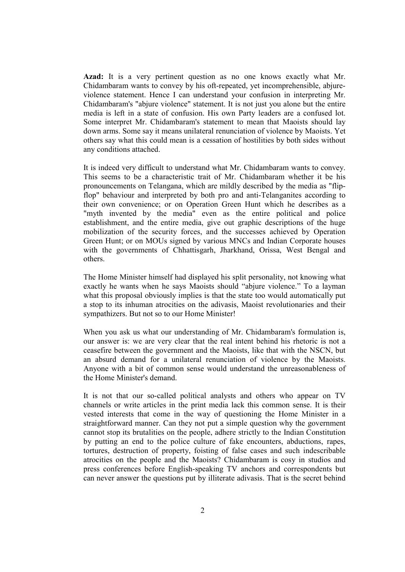**Azad:** It is a very pertinent question as no one knows exactly what Mr. Chidambaram wants to convey by his oft-repeated, yet incomprehensible, abjureviolence statement. Hence I can understand your confusion in interpreting Mr. Chidambaram's "abjure violence" statement. It is not just you alone but the entire media is left in a state of confusion. His own Party leaders are a confused lot. Some interpret Mr. Chidambaram's statement to mean that Maoists should lay down arms. Some say it means unilateral renunciation of violence by Maoists. Yet others say what this could mean is a cessation of hostilities by both sides without any conditions attached.

It is indeed very difficult to understand what Mr. Chidambaram wants to convey. This seems to be a characteristic trait of Mr. Chidambaram whether it be his pronouncements on Telangana, which are mildly described by the media as "flipflop" behaviour and interpreted by both pro and anti-Telanganites according to their own convenience; or on Operation Green Hunt which he describes as a "myth invented by the media" even as the entire political and police establishment, and the entire media, give out graphic descriptions of the huge mobilization of the security forces, and the successes achieved by Operation Green Hunt; or on MOUs signed by various MNCs and Indian Corporate houses with the governments of Chhattisgarh, Jharkhand, Orissa, West Bengal and others.

The Home Minister himself had displayed his split personality, not knowing what exactly he wants when he says Maoists should "abjure violence." To a layman what this proposal obviously implies is that the state too would automatically put a stop to its inhuman atrocities on the adivasis, Maoist revolutionaries and their sympathizers. But not so to our Home Minister!

When you ask us what our understanding of Mr. Chidambaram's formulation is, our answer is: we are very clear that the real intent behind his rhetoric is not a ceasefire between the government and the Maoists, like that with the NSCN, but an absurd demand for a unilateral renunciation of violence by the Maoists. Anyone with a bit of common sense would understand the unreasonableness of the Home Minister's demand.

It is not that our so-called political analysts and others who appear on TV channels or write articles in the print media lack this common sense. It is their vested interests that come in the way of questioning the Home Minister in a straightforward manner. Can they not put a simple question why the government cannot stop its brutalities on the people, adhere strictly to the Indian Constitution by putting an end to the police culture of fake encounters, abductions, rapes, tortures, destruction of property, foisting of false cases and such indescribable atrocities on the people and the Maoists? Chidambaram is cosy in studios and press conferences before English-speaking TV anchors and correspondents but can never answer the questions put by illiterate adivasis. That is the secret behind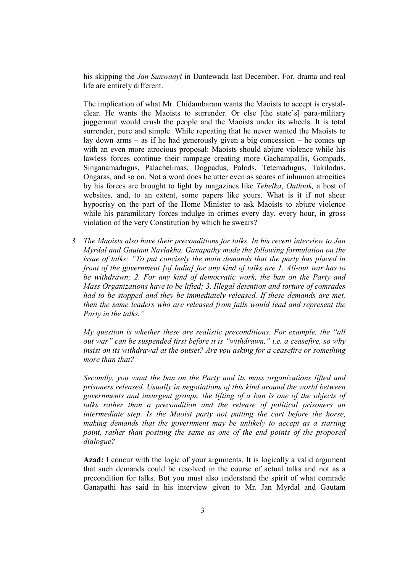his skipping the *Jan Sunwaayi* in Dantewada last December. For, drama and real life are entirely different.

The implication of what Mr. Chidambaram wants the Maoists to accept is crystalclear. He wants the Maoists to surrender. Or else [the state's] para-military juggernaut would crush the people and the Maoists under its wheels. It is total surrender, pure and simple. While repeating that he never wanted the Maoists to lay down arms – as if he had generously given a big concession – he comes up with an even more atrocious proposal: Maoists should abjure violence while his lawless forces continue their rampage creating more Gachampallis, Gompads, Singanamadugus, Palachelimas, Dogpadus, Palods, Tetemadugus, Takilodus, Ongaras, and so on. Not a word does he utter even as scores of inhuman atrocities by his forces are brought to light by magazines like *Tehelka*, *Outlook,* a host of websites*,* and, to an extent, some papers like yours. What is it if not sheer hypocrisy on the part of the Home Minister to ask Maoists to abjure violence while his paramilitary forces indulge in crimes every day, every hour, in gross violation of the very Constitution by which he swears?

*3. The Maoists also have their preconditions for talks. In his recent interview to Jan Myrdal and Gautam Navlakha, Ganapathy made the following formulation on the issue of talks: "To put concisely the main demands that the party has placed in front of the government [of India] for any kind of talks are 1. All-out war has to be withdrawn; 2. For any kind of democratic work, the ban on the Party and Mass Organizations have to be lifted; 3. Illegal detention and torture of comrades had to be stopped and they be immediately released. If these demands are met, then the same leaders who are released from jails would lead and represent the Party in the talks."* 

*My question is whether these are realistic preconditions. For example, the "all out war" can be suspended first before it is "withdrawn," i.e. a ceasefire, so why insist on its withdrawal at the outset? Are you asking for a ceasefire or something more than that?* 

*Secondly, you want the ban on the Party and its mass organizations lifted and prisoners released. Usually in negotiations of this kind around the world between governments and insurgent groups, the lifting of a ban is one of the objects of talks rather than a precondition and the release of political prisoners an intermediate step. Is the Maoist party not putting the cart before the horse, making demands that the government may be unlikely to accept as a starting point, rather than positing the same as one of the end points of the proposed dialogue?* 

**Azad:** I concur with the logic of your arguments. It is logically a valid argument that such demands could be resolved in the course of actual talks and not as a precondition for talks. But you must also understand the spirit of what comrade Ganapathi has said in his interview given to Mr. Jan Myrdal and Gautam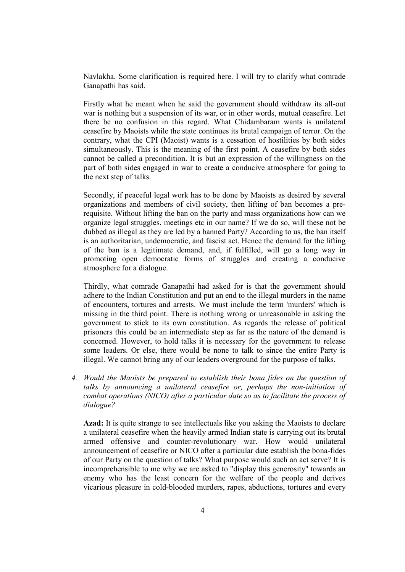Navlakha. Some clarification is required here. I will try to clarify what comrade Ganapathi has said.

Firstly what he meant when he said the government should withdraw its all-out war is nothing but a suspension of its war, or in other words, mutual ceasefire. Let there be no confusion in this regard. What Chidambaram wants is unilateral ceasefire by Maoists while the state continues its brutal campaign of terror. On the contrary, what the CPI (Maoist) wants is a cessation of hostilities by both sides simultaneously. This is the meaning of the first point. A ceasefire by both sides cannot be called a precondition. It is but an expression of the willingness on the part of both sides engaged in war to create a conducive atmosphere for going to the next step of talks.

Secondly, if peaceful legal work has to be done by Maoists as desired by several organizations and members of civil society, then lifting of ban becomes a prerequisite. Without lifting the ban on the party and mass organizations how can we organize legal struggles, meetings etc in our name? If we do so, will these not be dubbed as illegal as they are led by a banned Party? According to us, the ban itself is an authoritarian, undemocratic, and fascist act. Hence the demand for the lifting of the ban is a legitimate demand, and, if fulfilled, will go a long way in promoting open democratic forms of struggles and creating a conducive atmosphere for a dialogue.

Thirdly, what comrade Ganapathi had asked for is that the government should adhere to the Indian Constitution and put an end to the illegal murders in the name of encounters, tortures and arrests. We must include the term 'murders' which is missing in the third point. There is nothing wrong or unreasonable in asking the government to stick to its own constitution. As regards the release of political prisoners this could be an intermediate step as far as the nature of the demand is concerned. However, to hold talks it is necessary for the government to release some leaders. Or else, there would be none to talk to since the entire Party is illegal. We cannot bring any of our leaders overground for the purpose of talks.

*4. Would the Maoists be prepared to establish their bona fides on the question of talks by announcing a unilateral ceasefire or, perhaps the non-initiation of combat operations (0ICO) after a particular date so as to facilitate the process of dialogue?* 

**Azad:** It is quite strange to see intellectuals like you asking the Maoists to declare a unilateral ceasefire when the heavily armed Indian state is carrying out its brutal armed offensive and counter-revolutionary war. How would unilateral announcement of ceasefire or NICO after a particular date establish the bona-fides of our Party on the question of talks? What purpose would such an act serve? It is incomprehensible to me why we are asked to "display this generosity" towards an enemy who has the least concern for the welfare of the people and derives vicarious pleasure in cold-blooded murders, rapes, abductions, tortures and every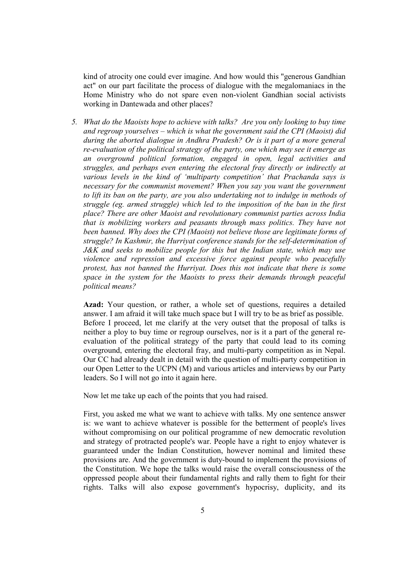kind of atrocity one could ever imagine. And how would this "generous Gandhian act" on our part facilitate the process of dialogue with the megalomaniacs in the Home Ministry who do not spare even non-violent Gandhian social activists working in Dantewada and other places?

*5. What do the Maoists hope to achieve with talks? Are you only looking to buy time and regroup yourselves – which is what the government said the CPI (Maoist) did during the aborted dialogue in Andhra Pradesh? Or is it part of a more general re-evaluation of the political strategy of the party, one which may see it emerge as an overground political formation, engaged in open, legal activities and struggles, and perhaps even entering the electoral fray directly or indirectly at various levels in the kind of 'multiparty competition' that Prachanda says is necessary for the communist movement? When you say you want the government to lift its ban on the party, are you also undertaking not to indulge in methods of struggle (eg. armed struggle) which led to the imposition of the ban in the first place? There are other Maoist and revolutionary communist parties across India that is mobilizing workers and peasants through mass politics. They have not been banned. Why does the CPI (Maoist) not believe those are legitimate forms of struggle? In Kashmir, the Hurriyat conference stands for the self-determination of J&K and seeks to mobilize people for this but the Indian state, which may use violence and repression and excessive force against people who peacefully protest, has not banned the Hurriyat. Does this not indicate that there is some space in the system for the Maoists to press their demands through peaceful political means?* 

**Azad:** Your question, or rather, a whole set of questions, requires a detailed answer. I am afraid it will take much space but I will try to be as brief as possible. Before I proceed, let me clarify at the very outset that the proposal of talks is neither a ploy to buy time or regroup ourselves, nor is it a part of the general reevaluation of the political strategy of the party that could lead to its coming overground, entering the electoral fray, and multi-party competition as in Nepal. Our CC had already dealt in detail with the question of multi-party competition in our Open Letter to the UCPN (M) and various articles and interviews by our Party leaders. So I will not go into it again here.

Now let me take up each of the points that you had raised.

First, you asked me what we want to achieve with talks. My one sentence answer is: we want to achieve whatever is possible for the betterment of people's lives without compromising on our political programme of new democratic revolution and strategy of protracted people's war. People have a right to enjoy whatever is guaranteed under the Indian Constitution, however nominal and limited these provisions are. And the government is duty-bound to implement the provisions of the Constitution. We hope the talks would raise the overall consciousness of the oppressed people about their fundamental rights and rally them to fight for their rights. Talks will also expose government's hypocrisy, duplicity, and its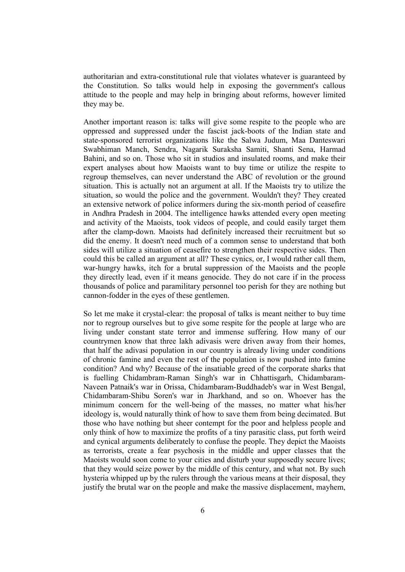authoritarian and extra-constitutional rule that violates whatever is guaranteed by the Constitution. So talks would help in exposing the government's callous attitude to the people and may help in bringing about reforms, however limited they may be.

Another important reason is: talks will give some respite to the people who are oppressed and suppressed under the fascist jack-boots of the Indian state and state-sponsored terrorist organizations like the Salwa Judum, Maa Danteswari Swabhiman Manch, Sendra, Nagarik Suraksha Samiti, Shanti Sena, Harmad Bahini, and so on. Those who sit in studios and insulated rooms, and make their expert analyses about how Maoists want to buy time or utilize the respite to regroup themselves, can never understand the ABC of revolution or the ground situation. This is actually not an argument at all. If the Maoists try to utilize the situation, so would the police and the government. Wouldn't they? They created an extensive network of police informers during the six-month period of ceasefire in Andhra Pradesh in 2004. The intelligence hawks attended every open meeting and activity of the Maoists, took videos of people, and could easily target them after the clamp-down. Maoists had definitely increased their recruitment but so did the enemy. It doesn't need much of a common sense to understand that both sides will utilize a situation of ceasefire to strengthen their respective sides. Then could this be called an argument at all? These cynics, or, I would rather call them, war-hungry hawks, itch for a brutal suppression of the Maoists and the people they directly lead, even if it means genocide. They do not care if in the process thousands of police and paramilitary personnel too perish for they are nothing but cannon-fodder in the eyes of these gentlemen.

So let me make it crystal-clear: the proposal of talks is meant neither to buy time nor to regroup ourselves but to give some respite for the people at large who are living under constant state terror and immense suffering. How many of our countrymen know that three lakh adivasis were driven away from their homes, that half the adivasi population in our country is already living under conditions of chronic famine and even the rest of the population is now pushed into famine condition? And why? Because of the insatiable greed of the corporate sharks that is fuelling Chidambram-Raman Singh's war in Chhattisgarh, Chidambaram-Naveen Patnaik's war in Orissa, Chidambaram-Buddhadeb's war in West Bengal, Chidambaram-Shibu Soren's war in Jharkhand, and so on. Whoever has the minimum concern for the well-being of the masses, no matter what his/her ideology is, would naturally think of how to save them from being decimated. But those who have nothing but sheer contempt for the poor and helpless people and only think of how to maximize the profits of a tiny parasitic class, put forth weird and cynical arguments deliberately to confuse the people. They depict the Maoists as terrorists, create a fear psychosis in the middle and upper classes that the Maoists would soon come to your cities and disturb your supposedly secure lives; that they would seize power by the middle of this century, and what not. By such hysteria whipped up by the rulers through the various means at their disposal, they justify the brutal war on the people and make the massive displacement, mayhem,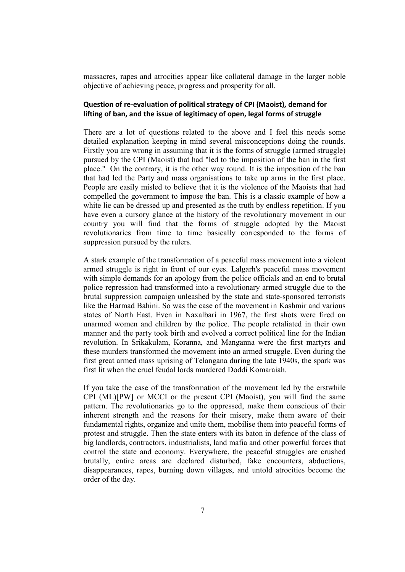massacres, rapes and atrocities appear like collateral damage in the larger noble objective of achieving peace, progress and prosperity for all.

## **Question of re-evaluation of political strategy of CPI (Maoist), demand for lifting of ban, and the issue of legitimacy of open, legal forms of struggle**

There are a lot of questions related to the above and I feel this needs some detailed explanation keeping in mind several misconceptions doing the rounds. Firstly you are wrong in assuming that it is the forms of struggle (armed struggle) pursued by the CPI (Maoist) that had "led to the imposition of the ban in the first place." On the contrary, it is the other way round. It is the imposition of the ban that had led the Party and mass organisations to take up arms in the first place. People are easily misled to believe that it is the violence of the Maoists that had compelled the government to impose the ban. This is a classic example of how a white lie can be dressed up and presented as the truth by endless repetition. If you have even a cursory glance at the history of the revolutionary movement in our country you will find that the forms of struggle adopted by the Maoist revolutionaries from time to time basically corresponded to the forms of suppression pursued by the rulers.

A stark example of the transformation of a peaceful mass movement into a violent armed struggle is right in front of our eyes. Lalgarh's peaceful mass movement with simple demands for an apology from the police officials and an end to brutal police repression had transformed into a revolutionary armed struggle due to the brutal suppression campaign unleashed by the state and state-sponsored terrorists like the Harmad Bahini. So was the case of the movement in Kashmir and various states of North East. Even in Naxalbari in 1967, the first shots were fired on unarmed women and children by the police. The people retaliated in their own manner and the party took birth and evolved a correct political line for the Indian revolution. In Srikakulam, Koranna, and Manganna were the first martyrs and these murders transformed the movement into an armed struggle. Even during the first great armed mass uprising of Telangana during the late 1940s, the spark was first lit when the cruel feudal lords murdered Doddi Komaraiah.

If you take the case of the transformation of the movement led by the erstwhile CPI (ML)[PW] or MCCI or the present CPI (Maoist), you will find the same pattern. The revolutionaries go to the oppressed, make them conscious of their inherent strength and the reasons for their misery, make them aware of their fundamental rights, organize and unite them, mobilise them into peaceful forms of protest and struggle. Then the state enters with its baton in defence of the class of big landlords, contractors, industrialists, land mafia and other powerful forces that control the state and economy. Everywhere, the peaceful struggles are crushed brutally, entire areas are declared disturbed, fake encounters, abductions, disappearances, rapes, burning down villages, and untold atrocities become the order of the day.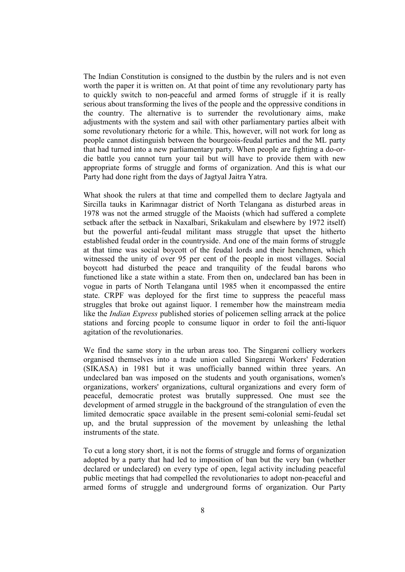The Indian Constitution is consigned to the dustbin by the rulers and is not even worth the paper it is written on. At that point of time any revolutionary party has to quickly switch to non-peaceful and armed forms of struggle if it is really serious about transforming the lives of the people and the oppressive conditions in the country. The alternative is to surrender the revolutionary aims, make adjustments with the system and sail with other parliamentary parties albeit with some revolutionary rhetoric for a while. This, however, will not work for long as people cannot distinguish between the bourgeois-feudal parties and the ML party that had turned into a new parliamentary party. When people are fighting a do-ordie battle you cannot turn your tail but will have to provide them with new appropriate forms of struggle and forms of organization. And this is what our Party had done right from the days of Jagtyal Jaitra Yatra.

What shook the rulers at that time and compelled them to declare Jagtyala and Sircilla tauks in Karimnagar district of North Telangana as disturbed areas in 1978 was not the armed struggle of the Maoists (which had suffered a complete setback after the setback in Naxalbari, Srikakulam and elsewhere by 1972 itself) but the powerful anti-feudal militant mass struggle that upset the hitherto established feudal order in the countryside. And one of the main forms of struggle at that time was social boycott of the feudal lords and their henchmen, which witnessed the unity of over 95 per cent of the people in most villages. Social boycott had disturbed the peace and tranquility of the feudal barons who functioned like a state within a state. From then on, undeclared ban has been in vogue in parts of North Telangana until 1985 when it encompassed the entire state. CRPF was deployed for the first time to suppress the peaceful mass struggles that broke out against liquor. I remember how the mainstream media like the *Indian Express* published stories of policemen selling arrack at the police stations and forcing people to consume liquor in order to foil the anti-liquor agitation of the revolutionaries.

We find the same story in the urban areas too. The Singareni colliery workers organised themselves into a trade union called Singareni Workers' Federation (SIKASA) in 1981 but it was unofficially banned within three years. An undeclared ban was imposed on the students and youth organisations, women's organizations, workers' organizations, cultural organizations and every form of peaceful, democratic protest was brutally suppressed. One must see the development of armed struggle in the background of the strangulation of even the limited democratic space available in the present semi-colonial semi-feudal set up, and the brutal suppression of the movement by unleashing the lethal instruments of the state.

To cut a long story short, it is not the forms of struggle and forms of organization adopted by a party that had led to imposition of ban but the very ban (whether declared or undeclared) on every type of open, legal activity including peaceful public meetings that had compelled the revolutionaries to adopt non-peaceful and armed forms of struggle and underground forms of organization. Our Party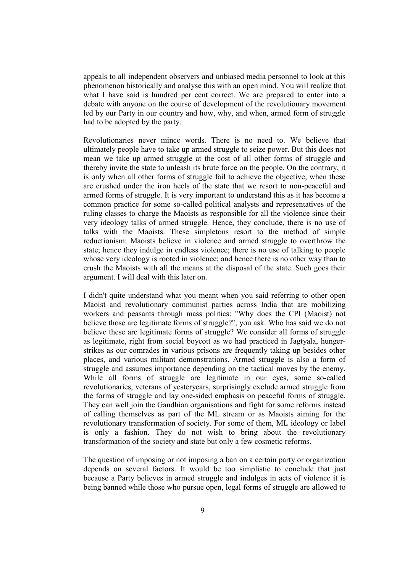appeals to all independent observers and unbiased media personnel to look at this phenomenon historically and analyse this with an open mind. You will realize that what I have said is hundred per cent correct. We are prepared to enter into a debate with anyone on the course of development of the revolutionary movement led by our Party in our country and how, why, and when, armed form of struggle had to be adopted by the party.

Revolutionaries never mince words. There is no need to. We believe that ultimately people have to take up armed struggle to seize power. But this does not mean we take up armed struggle at the cost of all other forms of struggle and thereby invite the state to unleash its brute force on the people. On the contrary, it is only when all other forms of struggle fail to achieve the objective, when these are crushed under the iron heels of the state that we resort to non-peaceful and armed forms of struggle. It is very important to understand this as it has become a common practice for some so-called political analysts and representatives of the ruling classes to charge the Maoists as responsible for all the violence since their very ideology talks of armed struggle. Hence, they conclude, there is no use of talks with the Maoists. These simpletons resort to the method of simple reductionism: Maoists believe in violence and armed struggle to overthrow the state; hence they indulge in endless violence; there is no use of talking to people whose very ideology is rooted in violence; and hence there is no other way than to crush the Maoists with all the means at the disposal of the state. Such goes their argument. I will deal with this later on.

I didn't quite understand what you meant when you said referring to other open Maoist and revolutionary communist parties across India that are mobilizing workers and peasants through mass politics: "Why does the CPI (Maoist) not believe those are legitimate forms of struggle?", you ask. Who has said we do not believe these are legitimate forms of struggle? We consider all forms of struggle as legitimate, right from social boycott as we had practiced in Jagtyala, hungerstrikes as our comrades in various prisons are frequently taking up besides other places, and various militant demonstrations. Armed struggle is also a form of struggle and assumes importance depending on the tactical moves by the enemy. While all forms of struggle are legitimate in our eyes, some so-called revolutionaries, veterans of yesteryears, surprisingly exclude armed struggle from the forms of struggle and lay one-sided emphasis on peaceful forms of struggle. They can well join the Gandhian organisations and fight for some reforms instead of calling themselves as part of the ML stream or as Maoists aiming for the revolutionary transformation of society. For some of them, ML ideology or label is only a fashion. They do not wish to bring about the revolutionary transformation of the society and state but only a few cosmetic reforms.

The question of imposing or not imposing a ban on a certain party or organization depends on several factors. It would be too simplistic to conclude that just because a Party believes in armed struggle and indulges in acts of violence it is being banned while those who pursue open, legal forms of struggle are allowed to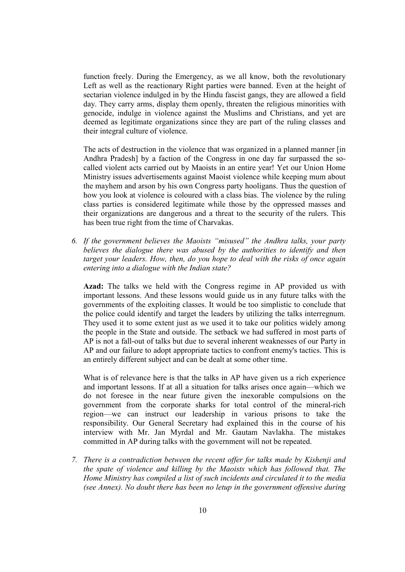function freely. During the Emergency, as we all know, both the revolutionary Left as well as the reactionary Right parties were banned. Even at the height of sectarian violence indulged in by the Hindu fascist gangs, they are allowed a field day. They carry arms, display them openly, threaten the religious minorities with genocide, indulge in violence against the Muslims and Christians, and yet are deemed as legitimate organizations since they are part of the ruling classes and their integral culture of violence.

The acts of destruction in the violence that was organized in a planned manner [in Andhra Pradesh] by a faction of the Congress in one day far surpassed the socalled violent acts carried out by Maoists in an entire year! Yet our Union Home Ministry issues advertisements against Maoist violence while keeping mum about the mayhem and arson by his own Congress party hooligans. Thus the question of how you look at violence is coloured with a class bias. The violence by the ruling class parties is considered legitimate while those by the oppressed masses and their organizations are dangerous and a threat to the security of the rulers. This has been true right from the time of Charvakas.

*6. If the government believes the Maoists "misused" the Andhra talks, your party believes the dialogue there was abused by the authorities to identify and then target your leaders. How, then, do you hope to deal with the risks of once again entering into a dialogue with the Indian state?* 

**Azad:** The talks we held with the Congress regime in AP provided us with important lessons. And these lessons would guide us in any future talks with the governments of the exploiting classes. It would be too simplistic to conclude that the police could identify and target the leaders by utilizing the talks interregnum. They used it to some extent just as we used it to take our politics widely among the people in the State and outside. The setback we had suffered in most parts of AP is not a fall-out of talks but due to several inherent weaknesses of our Party in AP and our failure to adopt appropriate tactics to confront enemy's tactics. This is an entirely different subject and can be dealt at some other time.

What is of relevance here is that the talks in AP have given us a rich experience and important lessons. If at all a situation for talks arises once again—which we do not foresee in the near future given the inexorable compulsions on the government from the corporate sharks for total control of the mineral-rich region—we can instruct our leadership in various prisons to take the responsibility. Our General Secretary had explained this in the course of his interview with Mr. Jan Myrdal and Mr. Gautam Navlakha. The mistakes committed in AP during talks with the government will not be repeated.

*7. There is a contradiction between the recent offer for talks made by Kishenji and the spate of violence and killing by the Maoists which has followed that. The Home Ministry has compiled a list of such incidents and circulated it to the media (see Annex). No doubt there has been no letup in the government offensive during*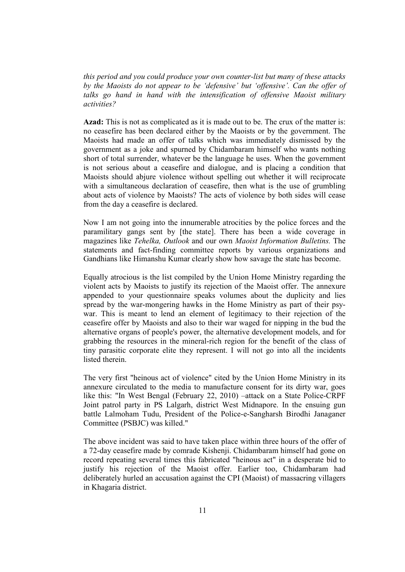*this period and you could produce your own counter-list but many of these attacks by the Maoists do not appear to be 'defensive' but 'offensive'. Can the offer of talks go hand in hand with the intensification of offensive Maoist military activities?* 

**Azad:** This is not as complicated as it is made out to be. The crux of the matter is: no ceasefire has been declared either by the Maoists or by the government. The Maoists had made an offer of talks which was immediately dismissed by the government as a joke and spurned by Chidambaram himself who wants nothing short of total surrender, whatever be the language he uses. When the government is not serious about a ceasefire and dialogue, and is placing a condition that Maoists should abjure violence without spelling out whether it will reciprocate with a simultaneous declaration of ceasefire, then what is the use of grumbling about acts of violence by Maoists? The acts of violence by both sides will cease from the day a ceasefire is declared.

Now I am not going into the innumerable atrocities by the police forces and the paramilitary gangs sent by [the state]. There has been a wide coverage in magazines like *Tehelka, Outlook* and our own *Maoist Information Bulletins.* The statements and fact-finding committee reports by various organizations and Gandhians like Himanshu Kumar clearly show how savage the state has become.

Equally atrocious is the list compiled by the Union Home Ministry regarding the violent acts by Maoists to justify its rejection of the Maoist offer. The annexure appended to your questionnaire speaks volumes about the duplicity and lies spread by the war-mongering hawks in the Home Ministry as part of their psywar. This is meant to lend an element of legitimacy to their rejection of the ceasefire offer by Maoists and also to their war waged for nipping in the bud the alternative organs of people's power, the alternative development models, and for grabbing the resources in the mineral-rich region for the benefit of the class of tiny parasitic corporate elite they represent. I will not go into all the incidents listed therein.

The very first "heinous act of violence" cited by the Union Home Ministry in its annexure circulated to the media to manufacture consent for its dirty war, goes like this: "In West Bengal (February 22, 2010) –attack on a State Police-CRPF Joint patrol party in PS Lalgarh, district West Midnapore. In the ensuing gun battle Lalmoham Tudu, President of the Police-e-Sangharsh Birodhi Janaganer Committee (PSBJC) was killed."

The above incident was said to have taken place within three hours of the offer of a 72-day ceasefire made by comrade Kishenji. Chidambaram himself had gone on record repeating several times this fabricated "heinous act" in a desperate bid to justify his rejection of the Maoist offer. Earlier too, Chidambaram had deliberately hurled an accusation against the CPI (Maoist) of massacring villagers in Khagaria district.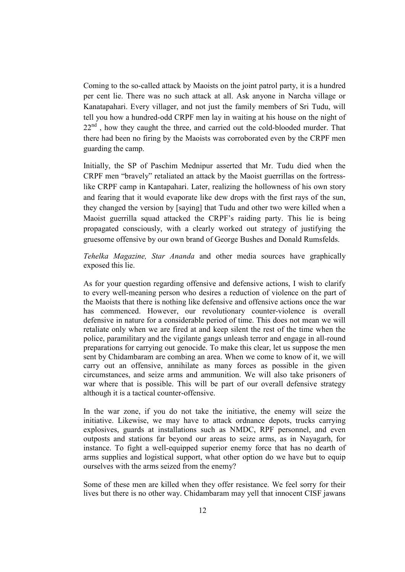Coming to the so-called attack by Maoists on the joint patrol party, it is a hundred per cent lie. There was no such attack at all. Ask anyone in Narcha village or Kanatapahari. Every villager, and not just the family members of Sri Tudu, will tell you how a hundred-odd CRPF men lay in waiting at his house on the night of  $22<sup>nd</sup>$ , how they caught the three, and carried out the cold-blooded murder. That there had been no firing by the Maoists was corroborated even by the CRPF men guarding the camp.

Initially, the SP of Paschim Mednipur asserted that Mr. Tudu died when the CRPF men "bravely" retaliated an attack by the Maoist guerrillas on the fortresslike CRPF camp in Kantapahari. Later, realizing the hollowness of his own story and fearing that it would evaporate like dew drops with the first rays of the sun, they changed the version by [saying] that Tudu and other two were killed when a Maoist guerrilla squad attacked the CRPF's raiding party. This lie is being propagated consciously, with a clearly worked out strategy of justifying the gruesome offensive by our own brand of George Bushes and Donald Rumsfelds.

*Tehelka Magazine, Star Ananda* and other media sources have graphically exposed this lie.

As for your question regarding offensive and defensive actions, I wish to clarify to every well-meaning person who desires a reduction of violence on the part of the Maoists that there is nothing like defensive and offensive actions once the war has commenced. However, our revolutionary counter-violence is overall defensive in nature for a considerable period of time. This does not mean we will retaliate only when we are fired at and keep silent the rest of the time when the police, paramilitary and the vigilante gangs unleash terror and engage in all-round preparations for carrying out genocide. To make this clear, let us suppose the men sent by Chidambaram are combing an area. When we come to know of it, we will carry out an offensive, annihilate as many forces as possible in the given circumstances, and seize arms and ammunition. We will also take prisoners of war where that is possible. This will be part of our overall defensive strategy although it is a tactical counter-offensive.

In the war zone, if you do not take the initiative, the enemy will seize the initiative. Likewise, we may have to attack ordnance depots, trucks carrying explosives, guards at installations such as NMDC, RPF personnel, and even outposts and stations far beyond our areas to seize arms, as in Nayagarh, for instance. To fight a well-equipped superior enemy force that has no dearth of arms supplies and logistical support, what other option do we have but to equip ourselves with the arms seized from the enemy?

Some of these men are killed when they offer resistance. We feel sorry for their lives but there is no other way. Chidambaram may yell that innocent CISF jawans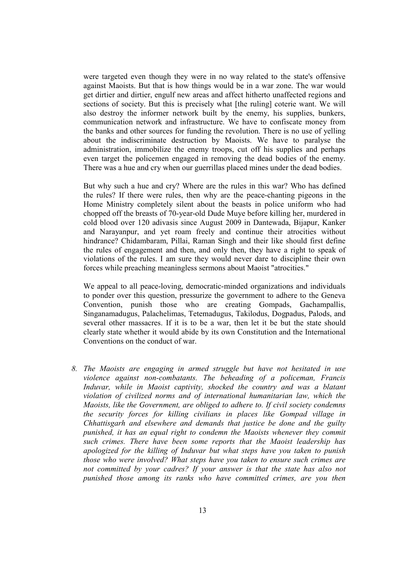were targeted even though they were in no way related to the state's offensive against Maoists. But that is how things would be in a war zone. The war would get dirtier and dirtier, engulf new areas and affect hitherto unaffected regions and sections of society. But this is precisely what [the ruling] coterie want. We will also destroy the informer network built by the enemy, his supplies, bunkers, communication network and infrastructure. We have to confiscate money from the banks and other sources for funding the revolution. There is no use of yelling about the indiscriminate destruction by Maoists. We have to paralyse the administration, immobilize the enemy troops, cut off his supplies and perhaps even target the policemen engaged in removing the dead bodies of the enemy. There was a hue and cry when our guerrillas placed mines under the dead bodies.

But why such a hue and cry? Where are the rules in this war? Who has defined the rules? If there were rules, then why are the peace-chanting pigeons in the Home Ministry completely silent about the beasts in police uniform who had chopped off the breasts of 70-year-old Dude Muye before killing her, murdered in cold blood over 120 adivasis since August 2009 in Dantewada, Bijapur, Kanker and Narayanpur, and yet roam freely and continue their atrocities without hindrance? Chidambaram, Pillai, Raman Singh and their like should first define the rules of engagement and then, and only then, they have a right to speak of violations of the rules. I am sure they would never dare to discipline their own forces while preaching meaningless sermons about Maoist "atrocities."

We appeal to all peace-loving, democratic-minded organizations and individuals to ponder over this question, pressurize the government to adhere to the Geneva Convention, punish those who are creating Gompads, Gachampallis, Singanamadugus, Palachelimas, Tetemadugus, Takilodus, Dogpadus, Palods, and several other massacres. If it is to be a war, then let it be but the state should clearly state whether it would abide by its own Constitution and the International Conventions on the conduct of war.

*8. The Maoists are engaging in armed struggle but have not hesitated in use violence against non-combatants. The beheading of a policeman, Francis Induvar, while in Maoist captivity, shocked the country and was a blatant violation of civilized norms and of international humanitarian law, which the Maoists, like the Government, are obliged to adhere to. If civil society condemns the security forces for killing civilians in places like Gompad village in Chhattisgarh and elsewhere and demands that justice be done and the guilty punished, it has an equal right to condemn the Maoists whenever they commit such crimes. There have been some reports that the Maoist leadership has apologized for the killing of Induvar but what steps have you taken to punish those who were involved? What steps have you taken to ensure such crimes are not committed by your cadres? If your answer is that the state has also not punished those among its ranks who have committed crimes, are you then*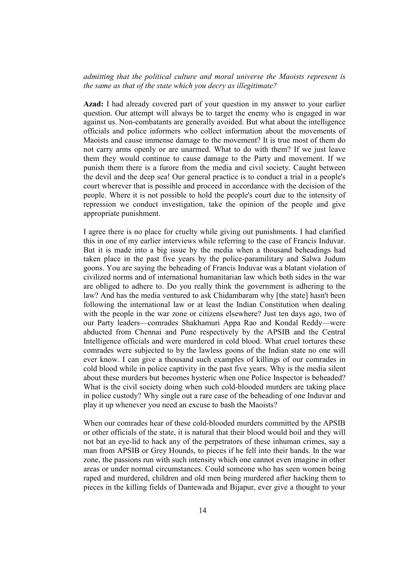## *admitting that the political culture and moral universe the Maoists represent is the same as that of the state which you decry as illegitimate?*

**Azad:** I had already covered part of your question in my answer to your earlier question. Our attempt will always be to target the enemy who is engaged in war against us. Non-combatants are generally avoided. But what about the intelligence officials and police informers who collect information about the movements of Maoists and cause immense damage to the movement? It is true most of them do not carry arms openly or are unarmed. What to do with them? If we just leave them they would continue to cause damage to the Party and movement. If we punish them there is a furore from the media and civil society. Caught between the devil and the deep sea! Our general practice is to conduct a trial in a people's court wherever that is possible and proceed in accordance with the decision of the people. Where it is not possible to hold the people's court due to the intensity of repression we conduct investigation, take the opinion of the people and give appropriate punishment.

I agree there is no place for cruelty while giving out punishments. I had clarified this in one of my earlier interviews while referring to the case of Francis Induvar. But it is made into a big issue by the media when a thousand beheadings had taken place in the past five years by the police-paramilitary and Salwa Judum goons. You are saying the beheading of Francis Induvar was a blatant violation of civilized norms and of international humanitarian law which both sides in the war are obliged to adhere to. Do you really think the government is adhering to the law? And has the media ventured to ask Chidambaram why [the state] hasn't been following the international law or at least the Indian Constitution when dealing with the people in the war zone or citizens elsewhere? Just ten days ago, two of our Party leaders—comrades Shakhamuri Appa Rao and Kondal Reddy—were abducted from Chennai and Pune respectively by the APSIB and the Central Intelligence officials and were murdered in cold blood. What cruel tortures these comrades were subjected to by the lawless goons of the Indian state no one will ever know. I can give a thousand such examples of killings of our comrades in cold blood while in police captivity in the past five years. Why is the media silent about these murders but becomes hysteric when one Police Inspector is beheaded? What is the civil society doing when such cold-blooded murders are taking place in police custody? Why single out a rare case of the beheading of one Induvar and play it up whenever you need an excuse to bash the Maoists?

When our comrades hear of these cold-blooded murders committed by the APSIB or other officials of the state, it is natural that their blood would boil and they will not bat an eye-lid to hack any of the perpetrators of these inhuman crimes, say a man from APSIB or Grey Hounds, to pieces if he fell into their hands. In the war zone, the passions run with such intensity which one cannot even imagine in other areas or under normal circumstances. Could someone who has seen women being raped and murdered, children and old men being murdered after hacking them to pieces in the killing fields of Dantewada and Bijapur, ever give a thought to your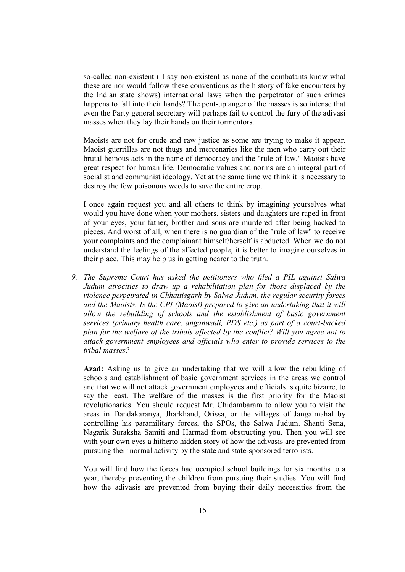so-called non-existent ( I say non-existent as none of the combatants know what these are nor would follow these conventions as the history of fake encounters by the Indian state shows) international laws when the perpetrator of such crimes happens to fall into their hands? The pent-up anger of the masses is so intense that even the Party general secretary will perhaps fail to control the fury of the adivasi masses when they lay their hands on their tormentors.

Maoists are not for crude and raw justice as some are trying to make it appear. Maoist guerrillas are not thugs and mercenaries like the men who carry out their brutal heinous acts in the name of democracy and the "rule of law." Maoists have great respect for human life. Democratic values and norms are an integral part of socialist and communist ideology. Yet at the same time we think it is necessary to destroy the few poisonous weeds to save the entire crop.

I once again request you and all others to think by imagining yourselves what would you have done when your mothers, sisters and daughters are raped in front of your eyes, your father, brother and sons are murdered after being hacked to pieces. And worst of all, when there is no guardian of the "rule of law" to receive your complaints and the complainant himself/herself is abducted. When we do not understand the feelings of the affected people, it is better to imagine ourselves in their place. This may help us in getting nearer to the truth.

*9. The Supreme Court has asked the petitioners who filed a PIL against Salwa Judum atrocities to draw up a rehabilitation plan for those displaced by the violence perpetrated in Chhattisgarh by Salwa Judum, the regular security forces and the Maoists. Is the CPI (Maoist) prepared to give an undertaking that it will allow the rebuilding of schools and the establishment of basic government services (primary health care, anganwadi, PDS etc.) as part of a court-backed plan for the welfare of the tribals affected by the conflict? Will you agree not to attack government employees and officials who enter to provide services to the tribal masses?* 

**Azad:** Asking us to give an undertaking that we will allow the rebuilding of schools and establishment of basic government services in the areas we control and that we will not attack government employees and officials is quite bizarre, to say the least. The welfare of the masses is the first priority for the Maoist revolutionaries. You should request Mr. Chidambaram to allow you to visit the areas in Dandakaranya, Jharkhand, Orissa, or the villages of Jangalmahal by controlling his paramilitary forces, the SPOs, the Salwa Judum, Shanti Sena, Nagarik Suraksha Samiti and Harmad from obstructing you. Then you will see with your own eyes a hitherto hidden story of how the adivasis are prevented from pursuing their normal activity by the state and state-sponsored terrorists.

You will find how the forces had occupied school buildings for six months to a year, thereby preventing the children from pursuing their studies. You will find how the adivasis are prevented from buying their daily necessities from the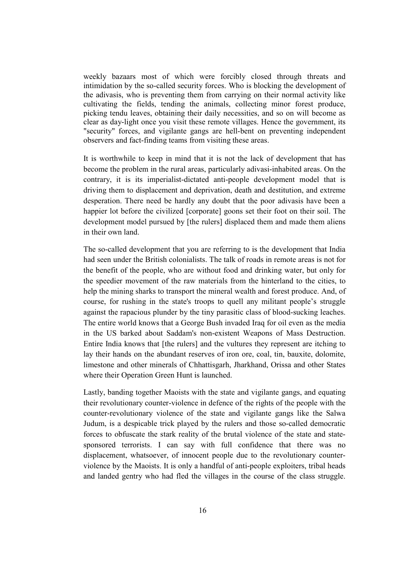weekly bazaars most of which were forcibly closed through threats and intimidation by the so-called security forces. Who is blocking the development of the adivasis, who is preventing them from carrying on their normal activity like cultivating the fields, tending the animals, collecting minor forest produce, picking tendu leaves, obtaining their daily necessities, and so on will become as clear as day-light once you visit these remote villages. Hence the government, its "security" forces, and vigilante gangs are hell-bent on preventing independent observers and fact-finding teams from visiting these areas.

It is worthwhile to keep in mind that it is not the lack of development that has become the problem in the rural areas, particularly adivasi-inhabited areas. On the contrary, it is its imperialist-dictated anti-people development model that is driving them to displacement and deprivation, death and destitution, and extreme desperation. There need be hardly any doubt that the poor adivasis have been a happier lot before the civilized [corporate] goons set their foot on their soil. The development model pursued by [the rulers] displaced them and made them aliens in their own land.

The so-called development that you are referring to is the development that India had seen under the British colonialists. The talk of roads in remote areas is not for the benefit of the people, who are without food and drinking water, but only for the speedier movement of the raw materials from the hinterland to the cities, to help the mining sharks to transport the mineral wealth and forest produce. And, of course, for rushing in the state's troops to quell any militant people's struggle against the rapacious plunder by the tiny parasitic class of blood-sucking leaches. The entire world knows that a George Bush invaded Iraq for oil even as the media in the US barked about Saddam's non-existent Weapons of Mass Destruction. Entire India knows that [the rulers] and the vultures they represent are itching to lay their hands on the abundant reserves of iron ore, coal, tin, bauxite, dolomite, limestone and other minerals of Chhattisgarh, Jharkhand, Orissa and other States where their Operation Green Hunt is launched.

Lastly, banding together Maoists with the state and vigilante gangs, and equating their revolutionary counter-violence in defence of the rights of the people with the counter-revolutionary violence of the state and vigilante gangs like the Salwa Judum, is a despicable trick played by the rulers and those so-called democratic forces to obfuscate the stark reality of the brutal violence of the state and statesponsored terrorists. I can say with full confidence that there was no displacement, whatsoever, of innocent people due to the revolutionary counterviolence by the Maoists. It is only a handful of anti-people exploiters, tribal heads and landed gentry who had fled the villages in the course of the class struggle.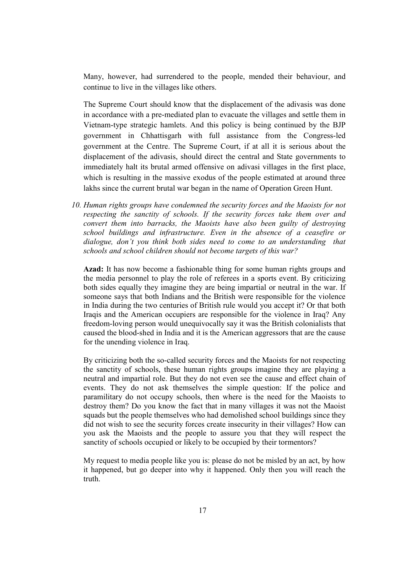Many, however, had surrendered to the people, mended their behaviour, and continue to live in the villages like others.

The Supreme Court should know that the displacement of the adivasis was done in accordance with a pre-mediated plan to evacuate the villages and settle them in Vietnam-type strategic hamlets. And this policy is being continued by the BJP government in Chhattisgarh with full assistance from the Congress-led government at the Centre. The Supreme Court, if at all it is serious about the displacement of the adivasis, should direct the central and State governments to immediately halt its brutal armed offensive on adivasi villages in the first place, which is resulting in the massive exodus of the people estimated at around three lakhs since the current brutal war began in the name of Operation Green Hunt.

*10. Human rights groups have condemned the security forces and the Maoists for not respecting the sanctity of schools. If the security forces take them over and convert them into barracks, the Maoists have also been guilty of destroying school buildings and infrastructure. Even in the absence of a ceasefire or dialogue, don't you think both sides need to come to an understanding that schools and school children should not become targets of this war?* 

**Azad:** It has now become a fashionable thing for some human rights groups and the media personnel to play the role of referees in a sports event. By criticizing both sides equally they imagine they are being impartial or neutral in the war. If someone says that both Indians and the British were responsible for the violence in India during the two centuries of British rule would you accept it? Or that both Iraqis and the American occupiers are responsible for the violence in Iraq? Any freedom-loving person would unequivocally say it was the British colonialists that caused the blood-shed in India and it is the American aggressors that are the cause for the unending violence in Iraq.

By criticizing both the so-called security forces and the Maoists for not respecting the sanctity of schools, these human rights groups imagine they are playing a neutral and impartial role. But they do not even see the cause and effect chain of events. They do not ask themselves the simple question: If the police and paramilitary do not occupy schools, then where is the need for the Maoists to destroy them? Do you know the fact that in many villages it was not the Maoist squads but the people themselves who had demolished school buildings since they did not wish to see the security forces create insecurity in their villages? How can you ask the Maoists and the people to assure you that they will respect the sanctity of schools occupied or likely to be occupied by their tormentors?

My request to media people like you is: please do not be misled by an act, by how it happened, but go deeper into why it happened. Only then you will reach the truth.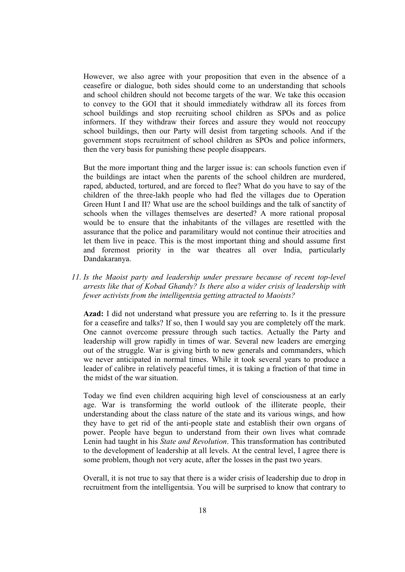However, we also agree with your proposition that even in the absence of a ceasefire or dialogue, both sides should come to an understanding that schools and school children should not become targets of the war. We take this occasion to convey to the GOI that it should immediately withdraw all its forces from school buildings and stop recruiting school children as SPOs and as police informers. If they withdraw their forces and assure they would not reoccupy school buildings, then our Party will desist from targeting schools. And if the government stops recruitment of school children as SPOs and police informers, then the very basis for punishing these people disappears.

But the more important thing and the larger issue is: can schools function even if the buildings are intact when the parents of the school children are murdered, raped, abducted, tortured, and are forced to flee? What do you have to say of the children of the three-lakh people who had fled the villages due to Operation Green Hunt I and II? What use are the school buildings and the talk of sanctity of schools when the villages themselves are deserted? A more rational proposal would be to ensure that the inhabitants of the villages are resettled with the assurance that the police and paramilitary would not continue their atrocities and let them live in peace. This is the most important thing and should assume first and foremost priority in the war theatres all over India, particularly Dandakaranya.

*11. Is the Maoist party and leadership under pressure because of recent top-level arrests like that of Kobad Ghandy? Is there also a wider crisis of leadership with fewer activists from the intelligentsia getting attracted to Maoists?* 

**Azad:** I did not understand what pressure you are referring to. Is it the pressure for a ceasefire and talks? If so, then I would say you are completely off the mark. One cannot overcome pressure through such tactics. Actually the Party and leadership will grow rapidly in times of war. Several new leaders are emerging out of the struggle. War is giving birth to new generals and commanders, which we never anticipated in normal times. While it took several years to produce a leader of calibre in relatively peaceful times, it is taking a fraction of that time in the midst of the war situation.

Today we find even children acquiring high level of consciousness at an early age. War is transforming the world outlook of the illiterate people, their understanding about the class nature of the state and its various wings, and how they have to get rid of the anti-people state and establish their own organs of power. People have begun to understand from their own lives what comrade Lenin had taught in his *State and Revolution*. This transformation has contributed to the development of leadership at all levels. At the central level, I agree there is some problem, though not very acute, after the losses in the past two years.

Overall, it is not true to say that there is a wider crisis of leadership due to drop in recruitment from the intelligentsia. You will be surprised to know that contrary to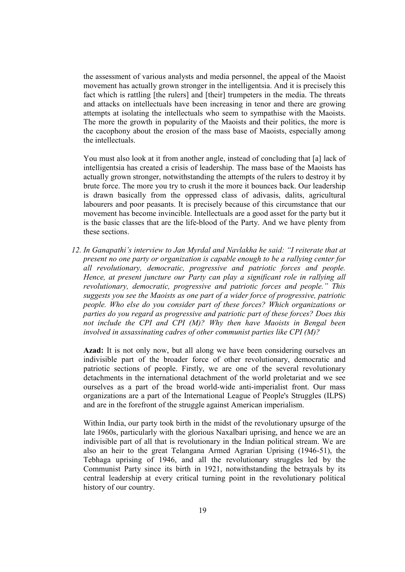the assessment of various analysts and media personnel, the appeal of the Maoist movement has actually grown stronger in the intelligentsia. And it is precisely this fact which is rattling [the rulers] and [their] trumpeters in the media. The threats and attacks on intellectuals have been increasing in tenor and there are growing attempts at isolating the intellectuals who seem to sympathise with the Maoists. The more the growth in popularity of the Maoists and their politics, the more is the cacophony about the erosion of the mass base of Maoists, especially among the intellectuals.

You must also look at it from another angle, instead of concluding that [a] lack of intelligentsia has created a crisis of leadership. The mass base of the Maoists has actually grown stronger, notwithstanding the attempts of the rulers to destroy it by brute force. The more you try to crush it the more it bounces back. Our leadership is drawn basically from the oppressed class of adivasis, dalits, agricultural labourers and poor peasants. It is precisely because of this circumstance that our movement has become invincible. Intellectuals are a good asset for the party but it is the basic classes that are the life-blood of the Party. And we have plenty from these sections.

12. In Ganapathi's interview to Jan Myrdal and Naylakha he said: "I reiterate that at *present no one party or organization is capable enough to be a rallying center for all revolutionary, democratic, progressive and patriotic forces and people. Hence, at present juncture our Party can play a significant role in rallying all revolutionary, democratic, progressive and patriotic forces and people." This suggests you see the Maoists as one part of a wider force of progressive, patriotic people. Who else do you consider part of these forces? Which organizations or parties do you regard as progressive and patriotic part of these forces? Does this not include the CPI and CPI (M)? Why then have Maoists in Bengal been involved in assassinating cadres of other communist parties like CPI (M)?* 

**Azad:** It is not only now, but all along we have been considering ourselves an indivisible part of the broader force of other revolutionary, democratic and patriotic sections of people. Firstly, we are one of the several revolutionary detachments in the international detachment of the world proletariat and we see ourselves as a part of the broad world-wide anti-imperialist front. Our mass organizations are a part of the International League of People's Struggles (ILPS) and are in the forefront of the struggle against American imperialism.

Within India, our party took birth in the midst of the revolutionary upsurge of the late 1960s, particularly with the glorious Naxalbari uprising, and hence we are an indivisible part of all that is revolutionary in the Indian political stream. We are also an heir to the great Telangana Armed Agrarian Uprising (1946-51), the Tebhaga uprising of 1946, and all the revolutionary struggles led by the Communist Party since its birth in 1921, notwithstanding the betrayals by its central leadership at every critical turning point in the revolutionary political history of our country.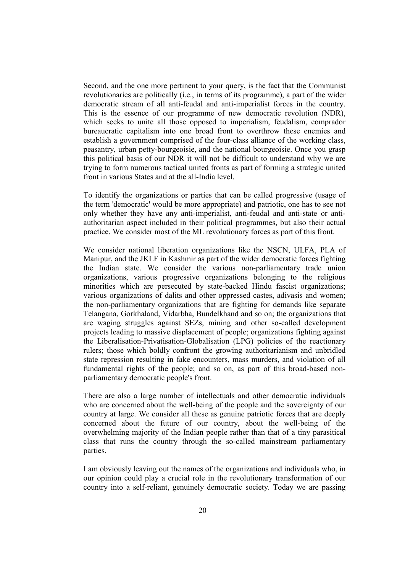Second, and the one more pertinent to your query, is the fact that the Communist revolutionaries are politically (i.e., in terms of its programme), a part of the wider democratic stream of all anti-feudal and anti-imperialist forces in the country. This is the essence of our programme of new democratic revolution (NDR), which seeks to unite all those opposed to imperialism, feudalism, comprador bureaucratic capitalism into one broad front to overthrow these enemies and establish a government comprised of the four-class alliance of the working class, peasantry, urban petty-bourgeoisie, and the national bourgeoisie. Once you grasp this political basis of our NDR it will not be difficult to understand why we are trying to form numerous tactical united fronts as part of forming a strategic united front in various States and at the all-India level.

To identify the organizations or parties that can be called progressive (usage of the term 'democratic' would be more appropriate) and patriotic, one has to see not only whether they have any anti-imperialist, anti-feudal and anti-state or antiauthoritarian aspect included in their political programmes, but also their actual practice. We consider most of the ML revolutionary forces as part of this front.

We consider national liberation organizations like the NSCN, ULFA, PLA of Manipur, and the JKLF in Kashmir as part of the wider democratic forces fighting the Indian state. We consider the various non-parliamentary trade union organizations, various progressive organizations belonging to the religious minorities which are persecuted by state-backed Hindu fascist organizations; various organizations of dalits and other oppressed castes, adivasis and women; the non-parliamentary organizations that are fighting for demands like separate Telangana, Gorkhaland, Vidarbha, Bundelkhand and so on; the organizations that are waging struggles against SEZs, mining and other so-called development projects leading to massive displacement of people; organizations fighting against the Liberalisation-Privatisation-Globalisation (LPG) policies of the reactionary rulers; those which boldly confront the growing authoritarianism and unbridled state repression resulting in fake encounters, mass murders, and violation of all fundamental rights of the people; and so on, as part of this broad-based nonparliamentary democratic people's front.

There are also a large number of intellectuals and other democratic individuals who are concerned about the well-being of the people and the sovereignty of our country at large. We consider all these as genuine patriotic forces that are deeply concerned about the future of our country, about the well-being of the overwhelming majority of the Indian people rather than that of a tiny parasitical class that runs the country through the so-called mainstream parliamentary parties.

I am obviously leaving out the names of the organizations and individuals who, in our opinion could play a crucial role in the revolutionary transformation of our country into a self-reliant, genuinely democratic society. Today we are passing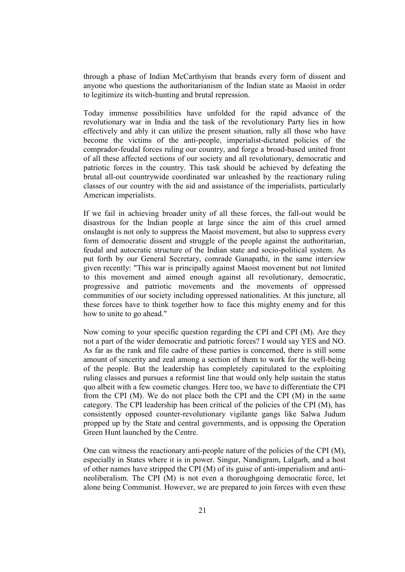through a phase of Indian McCarthyism that brands every form of dissent and anyone who questions the authoritarianism of the Indian state as Maoist in order to legitimize its witch-hunting and brutal repression.

Today immense possibilities have unfolded for the rapid advance of the revolutionary war in India and the task of the revolutionary Party lies in how effectively and ably it can utilize the present situation, rally all those who have become the victims of the anti-people, imperialist-dictated policies of the comprador-feudal forces ruling our country, and forge a broad-based united front of all these affected sections of our society and all revolutionary, democratic and patriotic forces in the country. This task should be achieved by defeating the brutal all-out countrywide coordinated war unleashed by the reactionary ruling classes of our country with the aid and assistance of the imperialists, particularly American imperialists.

If we fail in achieving broader unity of all these forces, the fall-out would be disastrous for the Indian people at large since the aim of this cruel armed onslaught is not only to suppress the Maoist movement, but also to suppress every form of democratic dissent and struggle of the people against the authoritarian, feudal and autocratic structure of the Indian state and socio-political system. As put forth by our General Secretary, comrade Ganapathi, in the same interview given recently: "This war is principally against Maoist movement but not limited to this movement and aimed enough against all revolutionary, democratic, progressive and patriotic movements and the movements of oppressed communities of our society including oppressed nationalities. At this juncture, all these forces have to think together how to face this mighty enemy and for this how to unite to go ahead."

Now coming to your specific question regarding the CPI and CPI (M). Are they not a part of the wider democratic and patriotic forces? I would say YES and NO. As far as the rank and file cadre of these parties is concerned, there is still some amount of sincerity and zeal among a section of them to work for the well-being of the people. But the leadership has completely capitulated to the exploiting ruling classes and pursues a reformist line that would only help sustain the status quo albeit with a few cosmetic changes. Here too, we have to differentiate the CPI from the CPI (M). We do not place both the CPI and the CPI (M) in the same category. The CPI leadership has been critical of the policies of the CPI (M), has consistently opposed counter-revolutionary vigilante gangs like Salwa Judum propped up by the State and central governments, and is opposing the Operation Green Hunt launched by the Centre.

One can witness the reactionary anti-people nature of the policies of the CPI (M), especially in States where it is in power. Singur, Nandigram, Lalgarh, and a host of other names have stripped the CPI (M) of its guise of anti-imperialism and antineoliberalism. The CPI (M) is not even a thoroughgoing democratic force, let alone being Communist. However, we are prepared to join forces with even these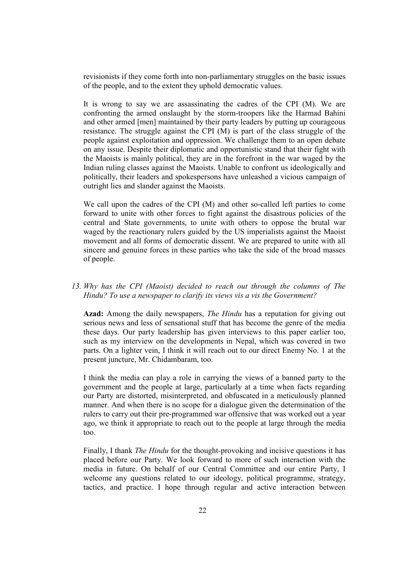revisionists if they come forth into non-parliamentary struggles on the basic issues of the people, and to the extent they uphold democratic values.

It is wrong to say we are assassinating the cadres of the CPI (M). We are confronting the armed onslaught by the storm-troopers like the Harmad Bahini and other armed [men] maintained by their party leaders by putting up courageous resistance. The struggle against the CPI (M) is part of the class struggle of the people against exploitation and oppression. We challenge them to an open debate on any issue. Despite their diplomatic and opportunistic stand that their fight with the Maoists is mainly political, they are in the forefront in the war waged by the Indian ruling classes against the Maoists. Unable to confront us ideologically and politically, their leaders and spokespersons have unleashed a vicious campaign of outright lies and slander against the Maoists.

We call upon the cadres of the CPI (M) and other so-called left parties to come forward to unite with other forces to fight against the disastrous policies of the central and State governments, to unite with others to oppose the brutal war waged by the reactionary rulers guided by the US imperialists against the Maoist movement and all forms of democratic dissent. We are prepared to unite with all sincere and genuine forces in these parties who take the side of the broad masses of people.

*13. Why has the CPI (Maoist) decided to reach out through the columns of The Hindu? To use a newspaper to clarify its views vis a vis the Government?* 

**Azad:** Among the daily newspapers, *The Hindu* has a reputation for giving out serious news and less of sensational stuff that has become the genre of the media these days. Our party leadership has given interviews to this paper earlier too, such as my interview on the developments in Nepal, which was covered in two parts. On a lighter vein, I think it will reach out to our direct Enemy No. 1 at the present juncture, Mr. Chidambaram, too.

I think the media can play a role in carrying the views of a banned party to the government and the people at large, particularly at a time when facts regarding our Party are distorted, misinterpreted, and obfuscated in a meticulously planned manner. And when there is no scope for a dialogue given the determination of the rulers to carry out their pre-programmed war offensive that was worked out a year ago, we think it appropriate to reach out to the people at large through the media too.

Finally, I thank *The Hindu* for the thought-provoking and incisive questions it has placed before our Party. We look forward to more of such interaction with the media in future. On behalf of our Central Committee and our entire Party, I welcome any questions related to our ideology, political programme, strategy, tactics, and practice. I hope through regular and active interaction between